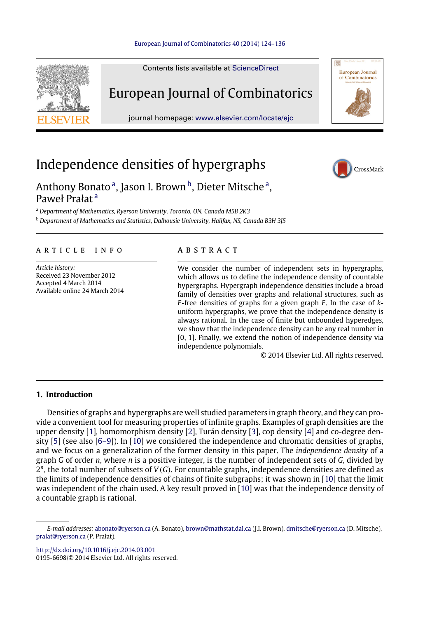

Contents lists available at [ScienceDirect](http://www.elsevier.com/locate/ejc)

# European Journal of Combinatorics

journal homepage: [www.elsevier.com/locate/ejc](http://www.elsevier.com/locate/ejc)

# Independence densities of hypergraphs



European Journal<br>of Combinatorics

# Anthony Bon[a](#page-0-0)to<sup>a</sup>, Jason I. Brown <sup>[b](#page-0-1)</sup>, Dieter Mitsche<sup>a</sup>, Paweł Prałat [a](#page-0-0)

<span id="page-0-0"></span><sup>a</sup> *Department of Mathematics, Ryerson University, Toronto, ON, Canada M5B 2K3*

<span id="page-0-1"></span><sup>b</sup> *Department of Mathematics and Statistics, Dalhousie University, Halifax, NS, Canada B3H 3J5*

# a r t i c l e i n f o

*Article history:* Received 23 November 2012 Accepted 4 March 2014 Available online 24 March 2014

# A B S T R A C T

We consider the number of independent sets in hypergraphs, which allows us to define the independence density of countable hypergraphs. Hypergraph independence densities include a broad family of densities over graphs and relational structures, such as *F* -free densities of graphs for a given graph *F* . In the case of *k*uniform hypergraphs, we prove that the independence density is always rational. In the case of finite but unbounded hyperedges, we show that the independence density can be any real number in [0, 1]. Finally, we extend the notion of independence density via independence polynomials.

© 2014 Elsevier Ltd. All rights reserved.

# **1. Introduction**

Densities of graphs and hypergraphs are well studied parameters in graph theory, and they can provide a convenient tool for measuring properties of infinite graphs. Examples of graph densities are the upper density [\[1\]](#page-12-0), homomorphism density [\[2\]](#page-12-1), Turán density [\[3\]](#page-12-2), cop density [\[4\]](#page-12-3) and co-degree density [\[5\]](#page-12-4) (see also [\[6–9\]](#page-12-5)). In [\[10\]](#page-12-6) we considered the independence and chromatic densities of graphs, and we focus on a generalization of the former density in this paper. The *independence density* of a graph *G* of order *n*, where *n* is a positive integer, is the number of independent sets of *G*, divided by 2 *n* , the total number of subsets of *V*(*G*). For countable graphs, independence densities are defined as the limits of independence densities of chains of finite subgraphs; it was shown in [\[10\]](#page-12-6) that the limit was independent of the chain used. A key result proved in [\[10\]](#page-12-6) was that the independence density of a countable graph is rational.

<http://dx.doi.org/10.1016/j.ejc.2014.03.001>

0195-6698/© 2014 Elsevier Ltd. All rights reserved.

*E-mail addresses:* [abonato@ryerson.ca](mailto:abonato@ryerson.ca) (A. Bonato), [brown@mathstat.dal.ca](mailto:brown@mathstat.dal.ca) (J.I. Brown), [dmitsche@ryerson.ca](mailto:dmitsche@ryerson.ca) (D. Mitsche), [pralat@ryerson.ca](mailto:pralat@ryerson.ca) (P. Prałat).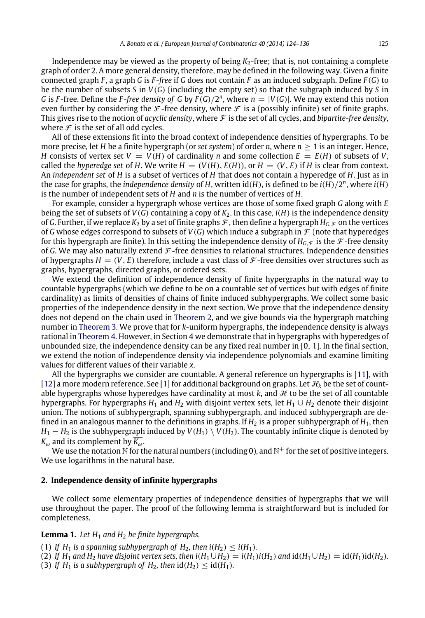Independence may be viewed as the property of being  $K<sub>2</sub>$ -free; that is, not containing a complete graph of order 2. A more general density, therefore, may be defined in the following way. Given a finite connected graph *F* , a graph *G* is *F* -*free* if *G* does not contain *F* as an induced subgraph. Define *F* (*G*) to be the number of subsets *S* in *V*(*G*) (including the empty set) so that the subgraph induced by *S* in *G* is *F*-free. Define the *F*-free density of *G* by  $F(G)/2^n$ , where  $n = |V(G)|$ . We may extend this notion even further by considering the  $\mathcal F$ -free density, where  $\mathcal F$  is a (possibly infinite) set of finite graphs. This gives rise to the notion of *acyclic density*, where  $\mathcal F$  is the set of all cycles, and *bipartite-free density*, where  $\mathcal F$  is the set of all odd cycles.

All of these extensions fit into the broad context of independence densities of hypergraphs. To be more precise, let *H* be a finite hypergraph (or *set system*) of order *n*, where *n* ≥ 1 is an integer. Hence, *H* consists of vertex set  $V = V(H)$  of cardinality *n* and some collection  $E = E(H)$  of subsets of *V*, called the *hyperedge set* of *H*. We write  $H = (V(H), E(H))$ , or  $H = (V, E)$  if *H* is clear from context. An *independent set* of *H* is a subset of vertices of *H* that does not contain a hyperedge of *H*. Just as in the case for graphs, the *independence density* of *H*, written  $id(H)$ , is defined to be  $i(H)/2^n$ , where  $i(H)$ is the number of independent sets of *H* and *n* is the number of vertices of *H*.

For example, consider a hypergraph whose vertices are those of some fixed graph *G* along with *E* being the set of subsets of *V*(*G*) containing a copy of *K*2. In this case, *i*(*H*) is the independence density of *G*. Further, if we replace  $K_2$  by a set of finite graphs  $\mathcal F$ , then define a hypergraph  $H_{G,\mathcal F}$  on the vertices of *G* whose edges correspond to subsets of  $V(G)$  which induce a subgraph in  $\mathcal F$  (note that hyperedges for this hypergraph are finite). In this setting the independence density of  $H_G$   $\epsilon$  is the F-free density of *G*. We may also naturally extend  $\mathcal{F}$ -free densities to relational structures. Independence densities of hypergraphs  $H = (V, E)$  therefore, include a vast class of  $\mathcal F$ -free densities over structures such as graphs, hypergraphs, directed graphs, or ordered sets.

We extend the definition of independence density of finite hypergraphs in the natural way to countable hypergraphs (which we define to be on a countable set of vertices but with edges of finite cardinality) as limits of densities of chains of finite induced subhypergraphs. We collect some basic properties of the independence density in the next section. We prove that the independence density does not depend on the chain used in [Theorem 2,](#page-2-0) and we give bounds via the hypergraph matching number in [Theorem 3.](#page-3-0) We prove that for *k*-uniform hypergraphs, the independence density is always rational in [Theorem 4.](#page-3-1) However, in Section [4](#page-5-0) we demonstrate that in hypergraphs with hyperedges of unbounded size, the independence density can be any fixed real number in [0, 1]. In the final section, we extend the notion of independence density via independence polynomials and examine limiting values for different values of their variable *x*.

All the hypergraphs we consider are countable. A general reference on hypergraphs is [\[11\]](#page-12-7), with [\[12\]](#page-12-8) a more modern reference. See [\[1\]](#page-12-0) for additional background on graphs. Let  $\mathcal{H}_k$  be the set of countable hypergraphs whose hyperedges have cardinality at most  $k$ , and  $H$  to be the set of all countable hypergraphs. For hypergraphs *H*<sub>1</sub> and *H*<sub>2</sub> with disjoint vertex sets, let  $H_1 \cup H_2$  denote their disjoint union. The notions of subhypergraph, spanning subhypergraph, and induced subhypergraph are defined in an analogous manner to the definitions in graphs. If *H*<sup>2</sup> is a proper subhypergraph of *H*1, then  $H_1 - H_2$  is the subhypergraph induced by  $V(H_1) \setminus V(H_2)$ . The countably infinite clique is denoted by  $K_{\omega}$  and its complement by  $\overline{K_{\omega}}$ .

We use the notation N for the natural numbers (including 0), and  $\mathbb{N}^+$  for the set of positive integers. We use logarithms in the natural base.

### <span id="page-1-1"></span>**2. Independence density of infinite hypergraphs**

We collect some elementary properties of independence densities of hypergraphs that we will use throughout the paper. The proof of the following lemma is straightforward but is included for completeness.

#### <span id="page-1-0"></span>**Lemma 1.** Let  $H_1$  and  $H_2$  be finite hypergraphs.

(1) If  $H_1$  *is a spanning subhypergraph of*  $H_2$ *, then*  $i(H_2) \le i(H_1)$ *.* 

(2) If  $H_1$  and  $H_2$  have disjoint vertex sets, then  $i(H_1 \cup H_2) = i(H_1)i(H_2)$  and  $id(H_1 \cup H_2) = id(H_1)i(d(H_2)$ .

(3) If  $H_1$  *is a subhypergraph of*  $H_2$ *, then*  $\text{id}(H_2) \leq \text{id}(H_1)$ *.*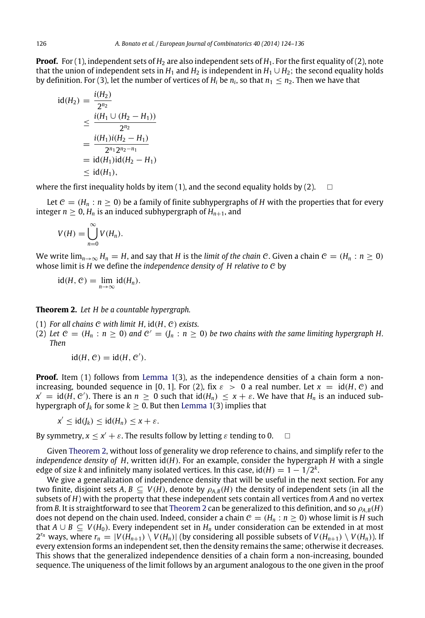**Proof.** For (1), independent sets of  $H_2$  are also independent sets of  $H_1$ . For the first equality of (2), note that the union of independent sets in  $H_1$  and  $H_2$  is independent in  $H_1 \cup H_2$ ; the second equality holds by definition. For (3), let the number of vertices of  $H_i$  be  $n_i$ , so that  $n_1 \leq n_2.$  Then we have that

$$
id(H_2) = \frac{i(H_2)}{2^{n_2}}
$$
  
\n
$$
\leq \frac{i(H_1 \cup (H_2 - H_1))}{2^{n_2}}
$$
  
\n
$$
= \frac{i(H_1)i(H_2 - H_1)}{2^{n_1}2^{n_2 - n_1}}
$$
  
\n
$$
= id(H_1)id(H_2 - H_1)
$$
  
\n
$$
\leq id(H_1),
$$

where the first inequality holds by item (1), and the second equality holds by (2).  $\square$ 

Let  $C = (H_n : n \ge 0)$  be a family of finite subhypergraphs of *H* with the properties that for every integer  $n \geq 0$ ,  $H_n$  is an induced subhypergraph of  $H_{n+1}$ , and

$$
V(H) = \bigcup_{n=0}^{\infty} V(H_n).
$$

We write  $\lim_{n\to\infty}$  *H<sub>n</sub>* = *H*, and say that *H* is the *limit of the chain C*. Given a chain  $C = (H_n : n \ge 0)$ whose limit is *H* we define the *independence density of H relative to* C by

<span id="page-2-0"></span>
$$
id(H, C) = \lim_{n \to \infty} id(H_n).
$$

**Theorem 2.** *Let H be a countable hypergraph.*

- (1) *For all chains* C *with limit H,* id(*H*, C) *exists.*
- (2) Let  $C = (H_n : n \ge 0)$  and  $C' = (J_n : n \ge 0)$  be two chains with the same limiting hypergraph H. *Then*

$$
id(H, \mathcal{C}) = id(H, \mathcal{C}').
$$

**Proof.** Item (1) follows from [Lemma 1\(](#page-1-0)3), as the independence densities of a chain form a nonincreasing, bounded sequence in [0, 1]. For (2), fix  $\varepsilon > 0$  a real number. Let  $x = id(H, \mathcal{C})$  and  $x' = id(H, C')$ . There is an  $n \ge 0$  such that  $id(H_n) \le x + \varepsilon$ . We have that  $H_n$  is an induced subhypergraph of  $J_k$  for some  $k \geq 0$ . But then [Lemma 1\(](#page-1-0)3) implies that

$$
x' \leq id(J_k) \leq id(H_n) \leq x + \varepsilon.
$$

By symmetry,  $x \le x' + \varepsilon$ . The results follow by letting  $\varepsilon$  tending to 0.  $\Box$ 

Given [Theorem 2,](#page-2-0) without loss of generality we drop reference to chains, and simplify refer to the *independence density of H*, written id(*H*). For an example, consider the hypergraph *H* with a single edge of size  $k$  and infinitely many isolated vertices. In this case, id( $H$ )  $= 1 - 1/2^k$ .

We give a generalization of independence density that will be useful in the next section. For any two finite, disjoint sets  $A, B \subseteq V(H)$ , denote by  $\rho_{A,B}(H)$  the density of independent sets (in all the subsets of *H*) with the property that these independent sets contain all vertices from *A* and no vertex from *B*. It is straightforward to see that [Theorem 2](#page-2-0) can be generalized to this definition, and so ρ*A*,*B*(*H*) does not depend on the chain used. Indeed, consider a chain  $C = (H_n : n \ge 0)$  whose limit is *H* such that *A* ∪ *B* ⊆ *V*(*H*<sub>0</sub>). Every independent set in *H*<sub>*n*</sub> under consideration can be extended in at most  $2^{r_n}$  ways, where  $r_n = |V(H_{n+1}) \setminus V(H_n)|$  (by considering all possible subsets of  $V(H_{n+1}) \setminus V(H_n)$ ). If every extension forms an independent set, then the density remains the same; otherwise it decreases. This shows that the generalized independence densities of a chain form a non-increasing, bounded sequence. The uniqueness of the limit follows by an argument analogous to the one given in the proof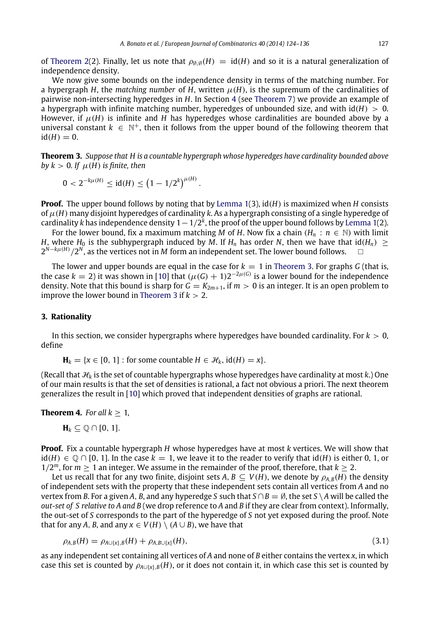of [Theorem 2\(](#page-2-0)2). Finally, let us note that  $\rho_{\emptyset,\emptyset}(H) = id(H)$  and so it is a natural generalization of independence density.

We now give some bounds on the independence density in terms of the matching number. For a hypergraph *H*, the *matching number* of *H*, written  $\mu$ (*H*), is the supremum of the cardinalities of pairwise non-intersecting hyperedges in *H*. In Section [4](#page-5-0) (see [Theorem 7\)](#page-6-0) we provide an example of a hypergraph with infinite matching number, hyperedges of unbounded size, and with  $\mathrm{id}(H) > 0$ . However, if  $\mu$ (*H*) is infinite and *H* has hyperedges whose cardinalities are bounded above by a universal constant  $k \in \mathbb{N}^+$ , then it follows from the upper bound of the following theorem that  $id(H) = 0.$ 

**Theorem 3.** *Suppose that H is a countable hypergraph whose hyperedges have cardinality bounded above by k* > 0. If  $\mu$ (*H*) *is finite, then* 

<span id="page-3-0"></span>
$$
0 < 2^{-k\mu(H)} \leq \mathrm{id}(H) \leq \left(1 - 1/2^k\right)^{\mu(H)}.
$$

**Proof.** The upper bound follows by noting that by [Lemma 1\(](#page-1-0)3), id(*H*) is maximized when *H* consists of  $\mu$ (*H*) many disjoint hyperedges of cardinality *k*. As a hypergraph consisting of a single hyperedge of cardinality *k* has independence density 1−1/2 *k* , the proof of the upper bound follows by [Lemma 1\(](#page-1-0)2).

For the lower bound, fix a maximum matching *M* of *H*. Now fix a chain  $(H_n : n \in \mathbb{N})$  with limit *H*, where *H*<sub>0</sub> is the subhypergraph induced by *M*. If *H*<sub>*n*</sub> has order *N*, then we have that id(*H*<sub>*n*</sub>) ≥ 2<sup>*N*−*kµ(H)* /2<sup>*N*</sup>, as the vertices not in *M* form an independent set. The lower bound follows. □</sup>

The lower and upper bounds are equal in the case for  $k = 1$  in [Theorem 3.](#page-3-0) For graphs *G* (that is, the case  $k = 2$ ) it was shown in [\[10\]](#page-12-6) that  $(\mu(G) + 1)2^{-2\mu(G)}$  is a lower bound for the independence density. Note that this bound is sharp for  $G = K_{2m+1}$ , if  $m > 0$  is an integer. It is an open problem to improve the lower bound in [Theorem 3](#page-3-0) if  $k > 2$ .

#### **3. Rationality**

In this section, we consider hypergraphs where hyperedges have bounded cardinality. For  $k > 0$ , define

 $\mathbf{H}_k = \{x \in [0, 1] : \text{for some countable } H \in \mathcal{H}_k, \text{ id}(H) = x\}.$ 

(Recall that  $\mathcal{H}_k$  is the set of countable hypergraphs whose hyperedges have cardinality at most  $k$ .) One of our main results is that the set of densities is rational, a fact not obvious a priori. The next theorem generalizes the result in [\[10\]](#page-12-6) which proved that independent densities of graphs are rational.

#### **Theorem 4.** *For all*  $k > 1$ *,*

<span id="page-3-1"></span>**H***<sup>k</sup>* ⊆ Q ∩ [0, 1].

**Proof.** Fix a countable hypergraph *H* whose hyperedges have at most *k* vertices. We will show that  $id(H)$  ∈  $\mathbb{O} \cap$  [0, 1]. In the case  $k = 1$ , we leave it to the reader to verify that  $id(H)$  is either 0, 1, or  $1/2^m$ , for  $m \geq 1$  an integer. We assume in the remainder of the proof, therefore, that  $k \geq 2$ .

Let us recall that for any two finite, disjoint sets *A*,  $B \subseteq V(H)$ , we denote by  $\rho_{A,B}(H)$  the density of independent sets with the property that these independent sets contain all vertices from *A* and no vertex from *B*. For a given *A*, *B*, and any hyperedge *S* such that  $S \cap B = \emptyset$ , the set  $S \setminus A$  will be called the *out-set of S relative to A and B* (we drop reference to *A* and *B* if they are clear from context). Informally, the out-set of *S* corresponds to the part of the hyperedge of *S* not yet exposed during the proof. Note that for any *A*, *B*, and any  $x \in V(H) \setminus (A \cup B)$ , we have that

<span id="page-3-2"></span>
$$
\rho_{A,B}(H) = \rho_{A \cup \{x\},B}(H) + \rho_{A,B \cup \{x\}}(H),
$$
\n(3.1)

as any independent set containing all vertices of *A* and none of *B* either contains the vertex *x*, in which case this set is counted by  $\rho_{A\cup\{x\},B}(H)$ , or it does not contain it, in which case this set is counted by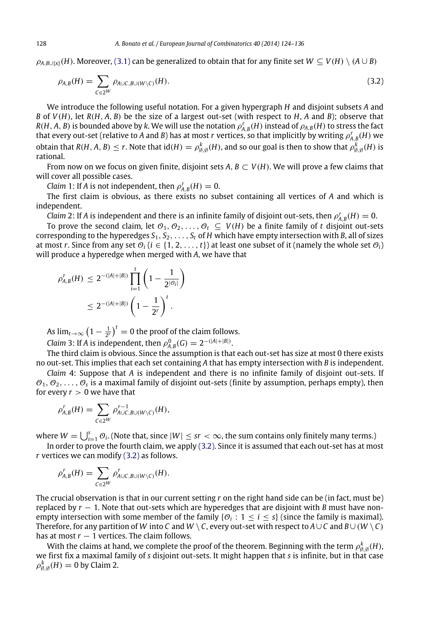$\rho_{A,B\cup\{x\}}(H)$ . Moreover, [\(3.1\)](#page-3-2) can be generalized to obtain that for any finite set  $W \subseteq V(H) \setminus (A \cup B)$ 

<span id="page-4-0"></span>
$$
\rho_{A,B}(H) = \sum_{C \in 2^W} \rho_{A \cup C, B \cup (W \setminus C)}(H). \tag{3.2}
$$

We introduce the following useful notation. For a given hypergraph *H* and disjoint subsets *A* and *B* of *V*(*H*), let *R*(*H*, *A*, *B*) be the size of a largest out-set (with respect to *H*, *A* and *B*); observe that *R*(*H*, *A*, *B*) is bounded above by *k*. We will use the notation  $\rho_{A,B}^r(H)$  instead of  $\rho_{A,B}^r(H)$  to stress the fact that every out-set (relative to *A* and *B*) has at most  $r$  vertices, so that implicitly by writing  $\rho^r_{A,B}(H)$  we obtain that  $R(H, A, B) \leq r$ . Note that  ${\rm id}(H) = \rho_{\emptyset, \emptyset}^k(H)$ , and so our goal is then to show that  $\rho_{\emptyset, \emptyset}^k(H)$  is rational.

From now on we focus on given finite, disjoint sets  $A, B \subset V(H)$ . We will prove a few claims that will cover all possible cases.

*Claim* 1: If *A* is not independent, then  $\rho_{A,B}^r(H) = 0$ .

The first claim is obvious, as there exists no subset containing all vertices of *A* and which is independent.

*Claim* 2: If *A* is independent and there is an infinite family of disjoint out-sets, then  $\rho_{A,B}^r(H) = 0$ .

To prove the second claim, let  $\mathcal{O}_1, \mathcal{O}_2, \ldots, \mathcal{O}_t \subseteq V(H)$  be a finite family of *t* disjoint out-sets corresponding to the hyperedges  $S_1, S_2, \ldots, S_t$  of *H* which have empty intersection with *B*, all of sizes at most *r*. Since from any set  $\mathcal{O}_i$  ( $i \in \{1, 2, ..., t\}$ ) at least one subset of it (namely the whole set  $\mathcal{O}_i$ ) will produce a hyperedge when merged with *A*, we have that

$$
\rho_{A,B}^r(H) \le 2^{-(|A|+|B|)} \prod_{i=1}^t \left(1 - \frac{1}{2^{|\mathcal{O}_i|}}\right)
$$
  

$$
\le 2^{-(|A|+|B|)} \left(1 - \frac{1}{2^r}\right)^t.
$$

As  $\lim_{t\to\infty} \left(1-\frac{1}{2^r}\right)^t = 0$  the proof of the claim follows.

*Claim* 3: If *A* is independent, then  $\rho_{A,B}^0(G) = 2^{-(|A|+|B|)}$ .

The third claim is obvious. Since the assumption is that each out-set has size at most 0 there exists no out-set. This implies that each set containing *A* that has empty intersection with *B* is independent.

*Claim* 4: Suppose that *A* is independent and there is no infinite family of disjoint out-sets. If  $\mathcal{O}_1, \mathcal{O}_2, \ldots, \mathcal{O}_s$  is a maximal family of disjoint out-sets (finite by assumption, perhaps empty), then for every  $r > 0$  we have that

$$
\rho_{A,B}^r(H) = \sum_{C \in 2^W} \rho_{A \cup C, B \cup (W \setminus C)}^{r-1}(H),
$$

where  $W=\bigcup_{i=1}^s\mathcal O_i.$  (Note that, since  $|W|\leq sr<\infty$ , the sum contains only finitely many terms.)

In order to prove the fourth claim, we apply [\(3.2\).](#page-4-0) Since it is assumed that each out-set has at most *r* vertices we can modify [\(3.2\)](#page-4-0) as follows.

$$
\rho_{A,B}^r(H) = \sum_{C \in 2^W} \rho_{A \cup C, B \cup (W \setminus C)}^r(H).
$$

The crucial observation is that in our current setting *r* on the right hand side can be (in fact, must be) replaced by *r* − 1. Note that out-sets which are hyperedges that are disjoint with *B* must have nonempty intersection with some member of the family  $\{\mathcal{O}_i: 1 \leq i \leq s\}$  (since the family is maximal). Therefore, for any partition of *W* into *C* and *W* \ *C*, every out-set with respect to  $A\cup C$  and  $B\cup (W\setminus C)$ has at most  $r - 1$  vertices. The claim follows.

With the claims at hand, we complete the proof of the theorem. Beginning with the term  $\rho_{\emptyset,\emptyset}^k(H)$ , we first fix a maximal family of *s* disjoint out-sets. It might happen that *s* is infinite, but in that case  $\rho_{\emptyset, \emptyset}^k(H) = 0$  by Claim 2.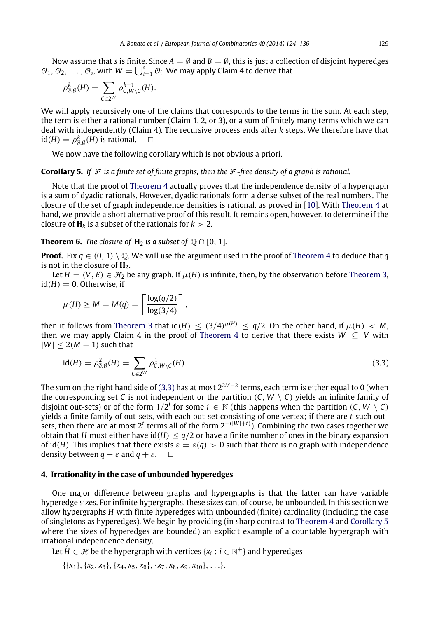Now assume that *s* is finite. Since  $A = \emptyset$  and  $B = \emptyset$ , this is just a collection of disjoint hyperedges  $\mathcal{O}_1, \mathcal{O}_2, \ldots, \mathcal{O}_s$ , with  $W = \bigcup_{i=1}^s \mathcal{O}_i$ . We may apply Claim 4 to derive that

$$
\rho_{\emptyset,\emptyset}^k(H)=\sum_{C\in 2^W}\rho_{C,W\setminus C}^{k-1}(H).
$$

We will apply recursively one of the claims that corresponds to the terms in the sum. At each step, the term is either a rational number (Claim 1, 2, or 3), or a sum of finitely many terms which we can deal with independently (Claim 4). The recursive process ends after *k* steps. We therefore have that  $id(H) = \rho_{\emptyset, \emptyset}^k(H)$  is rational.  $\square$ 

<span id="page-5-2"></span>We now have the following corollary which is not obvious a priori.

### **Corollary 5.** If  $\mathcal F$  is a finite set of finite graphs, then the  $\mathcal F$ -free density of a graph is rational.

Note that the proof of [Theorem 4](#page-3-1) actually proves that the independence density of a hypergraph is a sum of dyadic rationals. However, dyadic rationals form a dense subset of the real numbers. The closure of the set of graph independence densities is rational, as proved in [\[10\]](#page-12-6). With [Theorem 4](#page-3-1) at hand, we provide a short alternative proof of this result. It remains open, however, to determine if the closure of  $H_k$  is a subset of the rationals for  $k > 2$ .

# **Theorem 6.** *The closure of*  $H_2$  *is a subset of*  $\mathbb{Q} \cap [0, 1]$ *.*

**Proof.** Fix  $q \in (0, 1) \setminus \mathbb{Q}$ . We will use the argument used in the proof of [Theorem 4](#page-3-1) to deduce that *q* is not in the closure of  $H_2$ .

Let  $H = (V, E) \in \mathcal{H}_2$  be any graph. If  $\mu(H)$  is infinite, then, by the observation before [Theorem 3,](#page-3-0)  $id(H) = 0$ . Otherwise, if

$$
\mu(H) \ge M = M(q) = \left\lceil \frac{\log(q/2)}{\log(3/4)} \right\rceil,
$$

then it follows from [Theorem 3](#page-3-0) that  $\text{id}(H) \leq (3/4)^{\mu(H)} \leq q/2$ . On the other hand, if  $\mu(H) < M$ , then we may apply Claim 4 in the proof of [Theorem 4](#page-3-1) to derive that there exists  $W \subseteq V$  with  $|W| \leq 2(M-1)$  such that

<span id="page-5-1"></span>
$$
id(H) = \rho_{\emptyset, \emptyset}^2(H) = \sum_{C \in 2^W} \rho_{C, W \setminus C}^1(H). \tag{3.3}
$$

The sum on the right hand side of [\(3.3\)](#page-5-1) has at most 2<sup>2</sup>*M*−<sup>2</sup> terms, each term is either equal to 0 (when the corresponding set *C* is not independent or the partition  $(C, W \setminus C)$  yields an infinite family of disjoint out-sets) or of the form  $1/2^i$  for some  $i \in \mathbb{N}$  (this happens when the partition  $(C, W \setminus C)$ yields a finite family of out-sets, with each out-set consisting of one vertex; if there are *t* such out-**Sets, then there are at most 2<sup>t</sup> terms all of the form 2<sup>−(|***W***|+***t***)</sub>. Combining the two cases together we**</sup> obtain that *H* must either have id(*H*)  $\leq$  *q*/2 or have a finite number of ones in the binary expansion of id(*H*). This implies that there exists  $\varepsilon = \varepsilon(q) > 0$  such that there is no graph with independence density between  $q - \varepsilon$  and  $q + \varepsilon$ .  $\Box$ 

# <span id="page-5-0"></span>**4. Irrationality in the case of unbounded hyperedges**

One major difference between graphs and hypergraphs is that the latter can have variable hyperedge sizes. For infinite hypergraphs, these sizes can, of course, be unbounded. In this section we allow hypergraphs *H* with finite hyperedges with unbounded (finite) cardinality (including the case of singletons as hyperedges). We begin by providing (in sharp contrast to [Theorem 4](#page-3-1) and [Corollary 5](#page-5-2) where the sizes of hyperedges are bounded) an explicit example of a countable hypergraph with irrational independence density.

Let  $\hat{H} \in \mathcal{H}$  be the hypergraph with vertices { $x_i : i \in \mathbb{N}^+$ } and hyperedges

 $\{\{x_1\}, \{x_2, x_3\}, \{x_4, x_5, x_6\}, \{x_7, x_8, x_9, x_{10}\}, \ldots\}.$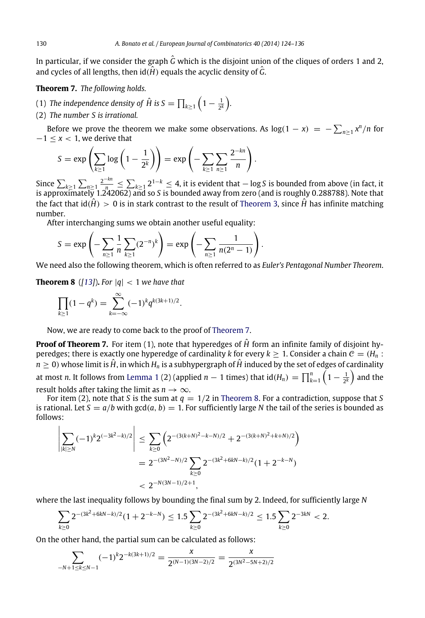In particular, if we consider the graph  $\hat{G}$  which is the disjoint union of the cliques of orders 1 and 2, and cycles of all lengths, then  $id(\hat{H})$  equals the acyclic density of  $\hat{G}$ .

<span id="page-6-0"></span>**Theorem 7.** *The following holds.*

- (1) *The independence density of*  $\hat{H}$  *is S*  $= \prod_{k \geq 1} \Big(1 \frac{1}{2^k}\Big)$ *.*
- (2) *The number S is irrational.*

Before we prove the theorem we make some observations. As  $log(1 - x) = -\sum_{n \geq 1} x^n/n$  for −1 ≤ *x* < 1, we derive that

$$
S = \exp\left(\sum_{k\geq 1} \log\left(1 - \frac{1}{2^k}\right)\right) = \exp\left(-\sum_{k\geq 1} \sum_{n\geq 1} \frac{2^{-kn}}{n}\right).
$$

Since  $\sum_{k\geq 1} \sum_{n\geq 1} \frac{2^{-kn}}{n} \leq \sum_{k\geq 1} 2^{1-k} \leq 4$ , it is evident that − log *S* is bounded from above (in fact, it is approximately 1.242062) and so *S* is bounded away from zero (and is roughly 0.288788). Note that the fact that  $id(\hat{H}) > 0$  is in stark contrast to the result of [Theorem 3,](#page-3-0) since  $\hat{H}$  has infinite matching number.

After interchanging sums we obtain another useful equality:

$$
S = \exp\left(-\sum_{n\geq 1} \frac{1}{n} \sum_{k\geq 1} (2^{-n})^k\right) = \exp\left(-\sum_{n\geq 1} \frac{1}{n(2^n - 1)}\right).
$$

We need also the following theorem, which is often referred to as *Euler's Pentagonal Number Theorem*.

**Theorem 8** ([\[13\]](#page-12-9)). For  $|q| < 1$  we have that

<span id="page-6-1"></span>
$$
\prod_{k\geq 1} (1-q^k) = \sum_{k=-\infty}^{\infty} (-1)^k q^{k(3k+1)/2}.
$$

Now, we are ready to come back to the proof of [Theorem 7.](#page-6-0)

**Proof of Theorem 7.** For item (1), note that hyperedges of  $\hat{H}$  form an infinite family of disjoint hyperedges; there is exactly one hyperedge of cardinality *k* for every  $k > 1$ . Consider a chain  $C = (H_n :$  $n \geq 0$ ) whose limit is  $\hat{H}$ , in which  $H_n$  is a subhypergraph of  $\hat{H}$  induced by the set of edges of cardinality at most *n*. It follows from [Lemma 1](#page-1-0) (2) (applied  $n-1$  times) that  $\mathrm{id}(H_n)=\prod_{k=1}^n\left(1-\frac{1}{2^k}\right)$  and the result holds after taking the limit as  $n \to \infty$ .

For item (2), note that *S* is the sum at  $q = 1/2$  in [Theorem 8.](#page-6-1) For a contradiction, suppose that *S* is rational. Let  $S = a/b$  with  $gcd(a, b) = 1$ . For sufficiently large N the tail of the series is bounded as follows:

$$
\left| \sum_{|k| \ge N} (-1)^k 2^{(-3k^2 - k)/2} \right| \le \sum_{k \ge 0} \left( 2^{-(3(k+N)^2 - k - N)/2} + 2^{-(3(k+N)^2 + k + N)/2} \right)
$$
  
=  $2^{-(3N^2 - N)/2} \sum_{k \ge 0} 2^{-(3k^2 + 6kN - k)/2} (1 + 2^{-k - N})$   
<  $2^{-N(3N - 1)/2 + 1}$ ,

where the last inequality follows by bounding the final sum by 2. Indeed, for sufficiently large *N*

$$
\sum_{k\geq 0} 2^{-(3k^2+6kN-k)/2}(1+2^{-k-N}) \leq 1.5 \sum_{k\geq 0} 2^{-(3k^2+6kN-k)/2} \leq 1.5 \sum_{k\geq 0} 2^{-3kN} < 2.
$$

On the other hand, the partial sum can be calculated as follows:

$$
\sum_{-N+1 \le k \le N-1} (-1)^k 2^{-k(3k+1)/2} = \frac{x}{2^{(N-1)(3N-2)/2}} = \frac{x}{2^{(3N^2-5N+2)/2}}
$$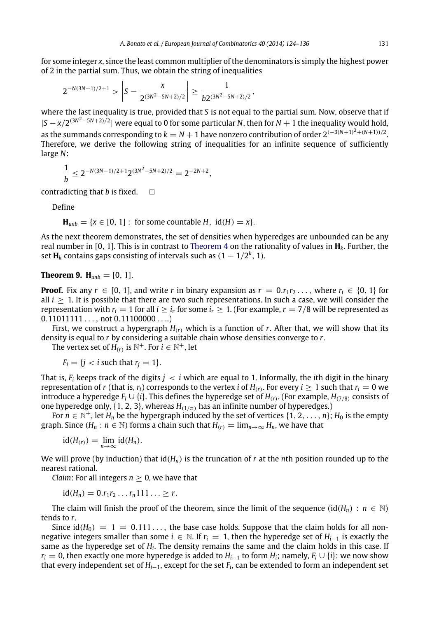for some integer *x*, since the least common multiplier of the denominators is simply the highest power of 2 in the partial sum. Thus, we obtain the string of inequalities

$$
2^{-N(3N-1)/2+1} > \left|S - \frac{x}{2^{(3N^2-5N+2)/2}}\right| \geq \frac{1}{b2^{(3N^2-5N+2)/2}},
$$

where the last inequality is true, provided that *S* is not equal to the partial sum. Now, observe that if |*S* − *x*/2 (3*N* <sup>2</sup>−5*N*+2)/2 | were equal to 0 for some particular *N*, then for *N* + 1 the inequality would hold, as the summands corresponding to  $k = N + 1$  have nonzero contribution of order  $2^{(-3(N+1)^2 + (N+1))/2}$ . Therefore, we derive the following string of inequalities for an infinite sequence of sufficiently large *N*:

$$
\frac{1}{b} \le 2^{-N(3N-1)/2+1} 2^{(3N^2-5N+2)/2} = 2^{-2N+2},
$$

contradicting that *b* is fixed.  $\Box$ 

Define

$$
\mathbf{H}_{unb} = \{x \in [0, 1]: \text{ for some countable } H, \text{ id}(H) = x\}.
$$

As the next theorem demonstrates, the set of densities when hyperedges are unbounded can be any real number in [0, 1]. This is in contrast to [Theorem 4](#page-3-1) on the rationality of values in **H***k*. Further, the set  $\mathbf{H}_k$  contains gaps consisting of intervals such as  $(1 - 1/2^k, 1)$ .

# **Theorem 9.**  $H_{umb} = [0, 1].$

**Proof.** Fix any  $r \in [0, 1]$ , and write *r* in binary expansion as  $r = 0.r_1r_2 \ldots$ , where  $r_i \in \{0, 1\}$  for all  $i \geq 1$ . It is possible that there are two such representations. In such a case, we will consider the representation with  $r_i = 1$  for all  $i \geq i_r$  for some  $i_r \geq 1$ . (For example,  $r = 7/8$  will be represented as  $0.11011111...$ , not  $0.11100000...$ 

First, we construct a hypergraph  $H_{(r)}$  which is a function of  $r$ . After that, we will show that its density is equal to *r* by considering a suitable chain whose densities converge to *r*.

The vertex set of  $H_{(r)}$  is  $\mathbb{N}^+$ . For  $i \in \mathbb{N}^+$ , let

$$
F_i = \{j < i \text{ such that } r_j = 1\}.
$$

That is,  $F_i$  keeps track of the digits  $j \lt i$  which are equal to 1. Informally, the *i*th digit in the binary representation of *r* (that is,  $r_i$ ) corresponds to the vertex *i* of  $H_{(r)}$ . For every  $i \ge 1$  such that  $r_i = 0$  we introduce a hyperedge  $F_i \cup \{i\}$ . This defines the hyperedge set of  $H_{(r)}$ . (For example,  $H_{(7/8)}$  consists of one hyperedge only,  $\{1, 2, 3\}$ , whereas  $H_{(1/\pi)}$  has an infinite number of hyperedges.)

For  $n \in \mathbb{N}^+$ , let  $H_n$  be the hypergraph induced by the set of vertices  $\{1, 2, ..., n\}$ ;  $H_0$  is the empty graph. Since ( $H_n : n \in \mathbb{N}$ ) forms a chain such that  $H_{(r)} = \lim_{n \to \infty} H_n$ , we have that

$$
id(H_{(r)}) = \lim_{n \to \infty} id(H_n).
$$

We will prove (by induction) that id(*Hn*) is the truncation of *r* at the *n*th position rounded up to the nearest rational.

*Claim*: For all integers  $n > 0$ , we have that

$$
id(H_n) = 0.r_1r_2 \ldots r_n 111 \ldots \geq r.
$$

The claim will finish the proof of the theorem, since the limit of the sequence (id( $H_n$ ) :  $n \in \mathbb{N}$ ) tends to *r*.

Since  $id(H_0) = 1 = 0.111...$ , the base case holds. Suppose that the claim holds for all nonnegative integers smaller than some  $i \in \mathbb{N}$ . If  $r_i = 1$ , then the hyperedge set of  $H_{i-1}$  is exactly the same as the hyperedge set of  $H_i$ . The density remains the same and the claim holds in this case. If *r*<sup>*i*</sup> = 0, then exactly one more hyperedge is added to  $H$ <sup>*i*−1</sup> to form  $H$ <sup>*i*</sup>; namely,  $F$ <sup>*i*</sup> ∪ {*i*}: we now show that every independent set of *Hi*−1, except for the set *F<sup>i</sup>* , can be extended to form an independent set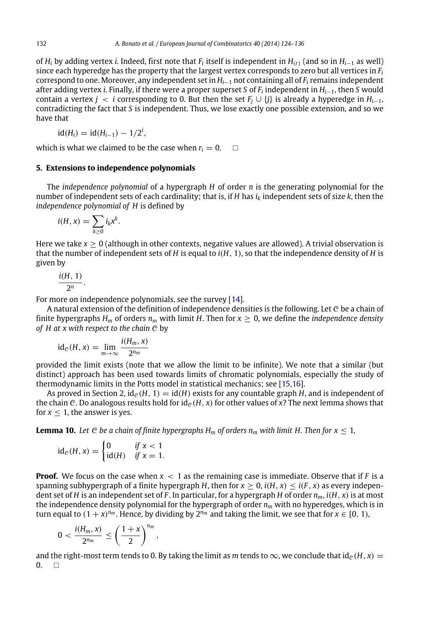of *H<sub>i</sub>* by adding vertex *i.* Indeed, first note that  $F_i$  itself is independent in  $H_{(r)}$  (and so in  $H_{i-1}$  as well) since each hyperedge has the property that the largest vertex corresponds to zero but all vertices in *F<sup>i</sup>* correspond to one. Moreover, any independent set in *Hi*−<sup>1</sup> not containing all of *F<sup>i</sup>* remains independent after adding vertex *i*. Finally, if there were a proper superset *S* of *F<sup>i</sup>* independent in *Hi*−1, then *S* would contain a vertex *j* < *i* corresponding to 0. But then the set  $F_i \cup \{j\}$  is already a hyperedge in  $H_{i-1}$ , contradicting the fact that *S* is independent. Thus, we lose exactly one possible extension, and so we have that

$$
id(H_i) = id(H_{i-1}) - 1/2^i,
$$

which is what we claimed to be the case when  $r_i = 0$ .  $\Box$ 

#### **5. Extensions to independence polynomials**

The *independence polynomial* of a hypergraph *H* of order *n* is the generating polynomial for the number of independent sets of each cardinality; that is, if *H* has *i<sup>k</sup>* independent sets of size *k*, then the *independence polynomial of H* is defined by

$$
i(H, x) = \sum_{k \geq 0} i_k x^k.
$$

Here we take  $x > 0$  (although in other contexts, negative values are allowed). A trivial observation is that the number of independent sets of *H* is equal to *i*(*H*, 1), so that the independence density of *H* is given by

$$
\frac{i(H, 1)}{2^n}.
$$

For more on independence polynomials, see the survey [\[14\]](#page-12-10).

A natural extension of the definition of independence densities is the following. Let  $C$  be a chain of finite hypergraphs  $H_m$  of orders  $n_m$  with limit *H*. Then for  $x \geq 0$ , we define the *independence density of H at x with respect to the chain* C by

$$
id_{\mathcal{C}}(H, x) = \lim_{m \to \infty} \frac{i(H_m, x)}{2^{n_m}}
$$

provided the limit exists (note that we allow the limit to be infinite). We note that a similar (but distinct) approach has been used towards limits of chromatic polynomials, especially the study of thermodynamic limits in the Potts model in statistical mechanics; see [\[15,](#page-12-11)[16\]](#page-12-12).

As proved in Section [2,](#page-1-1)  $id_{\mathcal{C}}(H, 1) = id(H)$  exists for any countable graph *H*, and is independent of the chain C. Do analogous results hold for  $id_e(H, x)$  for other values of x? The next lemma shows that for  $x \leq 1$ , the answer is yes.

**Lemma 10.** *Let* C *be a chain of finite hypergraphs H<sub><i>m*</sub> of orders  $n_m$  with limit H. Then for  $x \le 1$ ,

<span id="page-8-0"></span>
$$
id_{\mathcal{C}}(H, x) = \begin{cases} 0 & \text{if } x < 1 \\ id(H) & \text{if } x = 1. \end{cases}
$$

**Proof.** We focus on the case when  $x < 1$  as the remaining case is immediate. Observe that if  $F$  is a spanning subhypergraph of a finite hypergraph *H*, then for  $x \ge 0$ ,  $i(H, x) \le i(F, x)$  as every independent set of *H* is an independent set of *F*. In particular, for a hypergraph *H* of order  $n_m$ ,  $i(H, x)$  is at most the independence density polynomial for the hypergraph of order *n<sup>m</sup>* with no hyperedges, which is in turn equal to  $(1 + x)^{n_m}$ . Hence, by dividing by  $2^{n_m}$  and taking the limit, we see that for  $x \in [0, 1)$ ,

$$
0<\frac{i(H_m,x)}{2^{n_m}}\leq \left(\frac{1+x}{2}\right)^{n_m},
$$

and the right-most term tends to 0. By taking the limit as *m* tends to  $\infty$ , we conclude that id<sub>C</sub>(*H*, *x*) = 0  $\Box$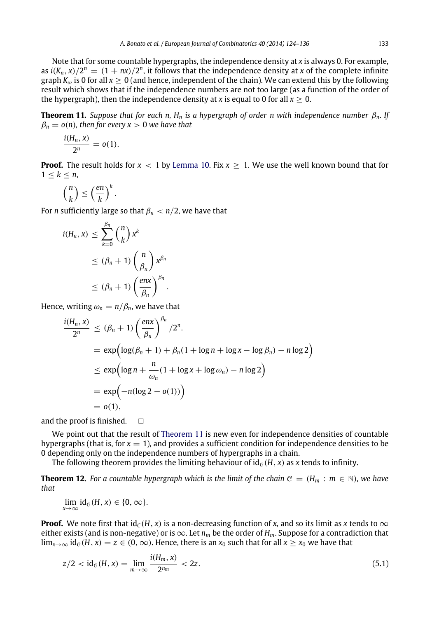Note that for some countable hypergraphs, the independence density at *x* is always 0. For example, as  $i(K_n, x)/2^n = (1 + nx)/2^n$ , it follows that the independence density at *x* of the complete infinite graph  $K_{\omega}$  is 0 for all  $x \ge 0$  (and hence, independent of the chain). We can extend this by the following result which shows that if the independence numbers are not too large (as a function of the order of the hypergraph), then the independence density at *x* is equal to 0 for all  $x \ge 0$ .

**Theorem 11.** *Suppose that for each n, H<sup>n</sup> is a hypergraph of order n with independence number* β*n. If*  $\beta_n = o(n)$ , then for every  $x > 0$  we have that

<span id="page-9-0"></span>
$$
\frac{i(H_n, x)}{2^n} = o(1).
$$

**Proof.** The result holds for  $x < 1$  by [Lemma 10.](#page-8-0) Fix  $x > 1$ . We use the well known bound that for  $1 \leq k \leq n$ ,

$$
\binom{n}{k} \leq \left(\frac{en}{k}\right)^k.
$$

For *n* sufficiently large so that  $\beta_n < n/2$ , we have that

$$
i(H_n, x) \leq \sum_{k=0}^{\beta_n} {n \choose k} x^k
$$
  
\n
$$
\leq (\beta_n + 1) {n \choose \beta_n} x^{\beta_n}
$$
  
\n
$$
\leq (\beta_n + 1) {(\frac{enx}{\beta_n})}^{\beta_n}
$$

Hence, writing  $\omega_n = n/\beta_n$ , we have that

$$
\frac{i(H_n, x)}{2^n} \leq (\beta_n + 1) \left(\frac{enx}{\beta_n}\right)^{\beta_n} / 2^n.
$$
  
=  $\exp\left(\log(\beta_n + 1) + \beta_n(1 + \log n + \log x - \log \beta_n) - n \log 2\right)$   
 $\leq \exp\left(\log n + \frac{n}{\omega_n}(1 + \log x + \log \omega_n) - n \log 2\right)$   
=  $\exp\left(-n(\log 2 - o(1))\right)$   
=  $o(1),$ 

.

and the proof is finished.  $\square$ 

We point out that the result of [Theorem 11](#page-9-0) is new even for independence densities of countable hypergraphs (that is, for  $x = 1$ ), and provides a sufficient condition for independence densities to be 0 depending only on the independence numbers of hypergraphs in a chain.

The following theorem provides the limiting behaviour of  $id_e(H, x)$  as *x* tends to infinity.

**Theorem 12.** For a countable hypergraph which is the limit of the chain  $C = (H_m : m \in \mathbb{N})$ , we have *that*

 $\lim_{x \to \infty}$  id<sub>C</sub>(*H*, *x*) ∈ {0, ∞}.

**Proof.** We note first that  $id_C(H, x)$  is a non-decreasing function of *x*, and so its limit as *x* tends to  $\infty$ either exists (and is non-negative) or is  $\infty$ . Let  $n_m$  be the order of  $H_m$ . Suppose for a contradiction that  $\lim_{x\to\infty}$  id<sub>c</sub>(*H*, *x*) = *z* ∈ (0,  $\infty$ ). Hence, there is an *x*<sub>0</sub> such that for all *x* ≥ *x*<sub>0</sub> we have that

<span id="page-9-1"></span>
$$
z/2 < \mathrm{id}_{\mathcal{C}}(H, x) = \lim_{m \to \infty} \frac{i(H_m, x)}{2^{n_m}} < 2z. \tag{5.1}
$$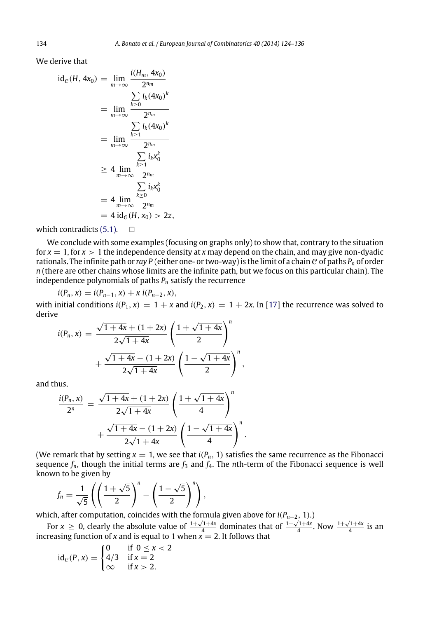We derive that

$$
id_{\mathcal{C}}(H, 4x_0) = \lim_{m \to \infty} \frac{i(H_m, 4x_0)}{2^{n_m}}
$$
  
\n
$$
= \lim_{m \to \infty} \frac{\sum_{k \ge 0} i_k (4x_0)^k}{2^{n_m}}
$$
  
\n
$$
= \lim_{m \to \infty} \frac{\sum_{k \ge 1} i_k (4x_0)^k}{2^{n_m}}
$$
  
\n
$$
\ge 4 \lim_{m \to \infty} \frac{\sum_{k \ge 1} i_k x_0^k}{2^{n_m}}
$$
  
\n
$$
= 4 \lim_{m \to \infty} \frac{\sum_{k \ge 0} i_k x_0^k}{2^{n_m}}
$$
  
\n
$$
= 4 id_{\mathcal{C}}(H, x_0) > 2z,
$$

*i*(*Hm*, 4*x*0)

which contradicts  $(5.1)$ .  $\Box$ 

We conclude with some examples (focusing on graphs only) to show that, contrary to the situation for  $x = 1$ , for  $x > 1$  the independence density at x may depend on the chain, and may give non-dyadic rationals. The infinite path or *ray P* (either one- or two-way) is the limit of a chain  $C$  of paths  $P_n$  of order *n* (there are other chains whose limits are the infinite path, but we focus on this particular chain). The independence polynomials of paths *P<sup>n</sup>* satisfy the recurrence

$$
i(P_n, x) = i(P_{n-1}, x) + x i(P_{n-2}, x),
$$

with initial conditions  $i(P_1, x) = 1 + x$  and  $i(P_2, x) = 1 + 2x$ . In [\[17\]](#page-12-13) the recurrence was solved to derive

,

$$
i(P_n, x) = \frac{\sqrt{1+4x} + (1+2x)}{2\sqrt{1+4x}} \left(\frac{1+\sqrt{1+4x}}{2}\right)^n + \frac{\sqrt{1+4x} - (1+2x)}{2\sqrt{1+4x}} \left(\frac{1-\sqrt{1+4x}}{2}\right)^n
$$

and thus,

$$
\frac{i(P_n, x)}{2^n} = \frac{\sqrt{1+4x} + (1+2x)}{2\sqrt{1+4x}} \left(\frac{1+\sqrt{1+4x}}{4}\right)^n + \frac{\sqrt{1+4x} - (1+2x)}{2\sqrt{1+4x}} \left(\frac{1-\sqrt{1+4x}}{4}\right)^n.
$$

(We remark that by setting  $x = 1$ , we see that  $i(P_n, 1)$  satisfies the same recurrence as the Fibonacci sequence  $f_n$ , though the initial terms are  $f_3$  and  $f_4$ . The *n*th-term of the Fibonacci sequence is well known to be given by

$$
f_n = \frac{1}{\sqrt{5}} \left( \left( \frac{1+\sqrt{5}}{2} \right)^n - \left( \frac{1-\sqrt{5}}{2} \right)^n \right),
$$

which, after computation, coincides with the formula given above for *i*(*Pn*−2, 1).)

For *x*  $\geq$  0, clearly the absolute value of  $\frac{1+\sqrt{1+4x}}{4}$  dominates that of  $\frac{1-\sqrt{1+4x}}{4}$ . Now  $\frac{1+\sqrt{1+4x}}{4}$  is an increasing function of *x* and is equal to 1 when  $\vec{x} = 2$ . It follows that

$$
id_{\mathcal{C}}(P, x) = \begin{cases} 0 & \text{if } 0 \le x < 2 \\ 4/3 & \text{if } x = 2 \\ \infty & \text{if } x > 2. \end{cases}
$$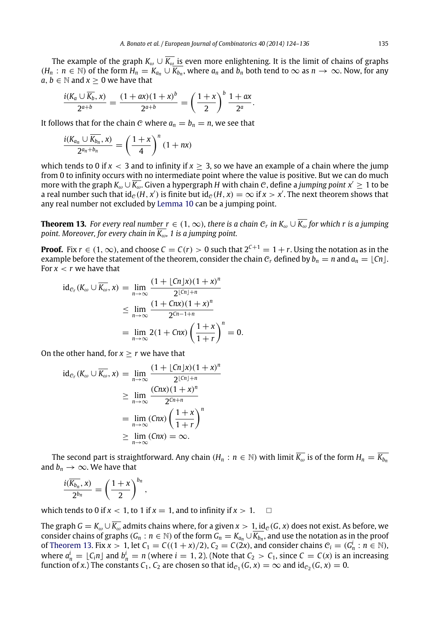The example of the graph  $K_{\omega} \cup \overline{K_{\omega}}$  is even more enlightening. It is the limit of chains of graphs  $(H_n : n \in \mathbb{N})$  of the form  $H_n = K_{a_n} \cup \overline{K_{b_n}}$ , where  $a_n$  and  $b_n$  both tend to  $\infty$  as  $n \to \infty$ . Now, for any *a*, *b*  $\in$  *N* and *x*  $>$  0 we have that

$$
\frac{i(K_a \cup \overline{K_b}, x)}{2^{a+b}} = \frac{(1+ax)(1+x)^b}{2^{a+b}} = \left(\frac{1+x}{2}\right)^b \frac{1+ax}{2^a}.
$$

It follows that for the chain C where  $a_n = b_n = n$ , we see that

$$
\frac{i(K_{a_n}\cup\overline{K_{b_n}},x)}{2^{a_n+b_n}}=\left(\frac{1+x}{4}\right)^n(1+nx)
$$

which tends to 0 if  $x < 3$  and to infinity if  $x > 3$ , so we have an example of a chain where the jump from 0 to infinity occurs with no intermediate point where the value is positive. But we can do much more with the graph  $K_\omega \cup \overline{K_\omega}$ . Given a hypergraph *H* with chain C, define a *jumping point*  $x' \geq 1$  to be a real number such that  $id_{\mathcal{C}}(H, x')$  is finite but  $id_{\mathcal{C}}(H, x) = \infty$  if  $x > x'$ . The next theorem shows that any real number not excluded by [Lemma 10](#page-8-0) can be a jumping point.

<span id="page-11-0"></span>**Theorem 13.** *For every real number r* ∈ (1,∞)*, there is a chain* C*<sup>r</sup> in K*<sup>ω</sup> ∪ *K*<sup>ω</sup> *for which r is a jumping point. Moreover, for every chain in K*ω*, 1 is a jumping point.*

**Proof.** Fix  $r \in (1, \infty)$ , and choose  $C = C(r) > 0$  such that  $2^{C+1} = 1 + r$ . Using the notation as in the example before the statement of the theorem, consider the chain  $C_r$  defined by  $b_n = n$  and  $a_n = |C_n|$ . For  $x < r$  we have that

$$
id_{\mathcal{C}_r}(K_{\omega} \cup \overline{K_{\omega}}, x) = \lim_{n \to \infty} \frac{(1 + \lfloor cn \rfloor x)(1 + x)^n}{2^{\lfloor cn \rfloor + n}}
$$
  

$$
\leq \lim_{n \to \infty} \frac{(1 + Cnx)(1 + x)^n}{2^{cn - 1 + n}}
$$
  

$$
= \lim_{n \to \infty} 2(1 + Cnx) \left(\frac{1 + x}{1 + r}\right)^n = 0.
$$

On the other hand, for  $x \ge r$  we have that

$$
id_{\mathcal{C}_r}(K_{\omega} \cup \overline{K_{\omega}}, x) = \lim_{n \to \infty} \frac{(1 + \lfloor cn \rfloor x)(1 + x)^n}{2^{\lfloor cn \rfloor + n}}
$$
  
\n
$$
\geq \lim_{n \to \infty} \frac{(Cnx)(1 + x)^n}{2^{Cn + n}}
$$
  
\n
$$
= \lim_{n \to \infty} (Cnx) \left(\frac{1 + x}{1 + r}\right)^n
$$
  
\n
$$
\geq \lim_{n \to \infty} (Cnx) = \infty.
$$

The second part is straightforward. Any chain  $(H_n : n \in \mathbb{N})$  with limit  $\overline{K_{\omega}}$  is of the form  $H_n = \overline{K_{b_n}}$ and  $b_n \to \infty$ . We have that

$$
\frac{i(\overline{K_{b_n}},x)}{2^{b_n}}=\left(\frac{1+x}{2}\right)^{b_n},
$$

which tends to 0 if  $x < 1$ , to 1 if  $x = 1$ , and to infinity if  $x > 1$ .  $\Box$ 

The graph  $G = K_\omega \cup \overline{K_\omega}$  admits chains where, for a given  $x > 1$ , id<sub>c</sub>(*G*, *x*) does not exist. As before, we consider chains of graphs ( $G_n$ :  $n \in \mathbb{N}$ ) of the form  $G_n = K_{a_n} \cup \overline{K_{b_n}}$ , and use the notation as in the proof of [Theorem 13.](#page-11-0) Fix  $x > 1$ , let  $C_1 = C((1 + x)/2)$ ,  $C_2 = C(2x)$ , and consider chains  $C_i = (G_n^i : n \in \mathbb{N})$ , where  $a_n^i = \lfloor C_i n \rfloor$  and  $b_n^i = n$  (where  $i = 1, 2$ ). (Note that  $C_2 > C_1$ , since  $C = C(x)$  is an increasing function of *x*.) The constants  $C_1$ ,  $C_2$  are chosen so that id<sub>C<sub>1</sub></sub>( $G$ ,  $x$ )  $=\infty$  and id<sub>C<sub>2</sub></sub>( $G$ ,  $x$ )  $= 0$ .